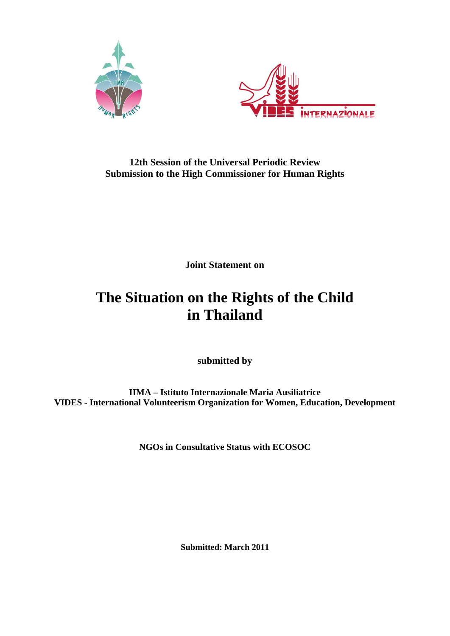



# **12th Session of the Universal Periodic Review Submission to the High Commissioner for Human Rights**

**Joint Statement on**

# **The Situation on the Rights of the Child in Thailand**

**submitted by** 

**IIMA – Istituto Internazionale Maria Ausiliatrice VIDES - International Volunteerism Organization for Women, Education, Development**

**NGOs in Consultative Status with ECOSOC**

**Submitted: March 2011**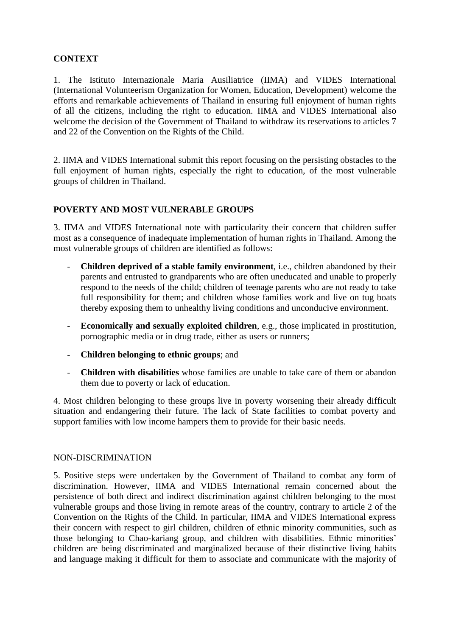#### **CONTEXT**

1. The Istituto Internazionale Maria Ausiliatrice (IIMA) and VIDES International (International Volunteerism Organization for Women, Education, Development) welcome the efforts and remarkable achievements of Thailand in ensuring full enjoyment of human rights of all the citizens, including the right to education. IIMA and VIDES International also welcome the decision of the Government of Thailand to withdraw its reservations to articles 7 and 22 of the Convention on the Rights of the Child.

2. IIMA and VIDES International submit this report focusing on the persisting obstacles to the full enjoyment of human rights, especially the right to education, of the most vulnerable groups of children in Thailand.

## **POVERTY AND MOST VULNERABLE GROUPS**

3. IIMA and VIDES International note with particularity their concern that children suffer most as a consequence of inadequate implementation of human rights in Thailand. Among the most vulnerable groups of children are identified as follows:

- **Children deprived of a stable family environment**, i.e., children abandoned by their parents and entrusted to grandparents who are often uneducated and unable to properly respond to the needs of the child; children of teenage parents who are not ready to take full responsibility for them; and children whose families work and live on tug boats thereby exposing them to unhealthy living conditions and unconducive environment.
- **Economically and sexually exploited children**, e.g., those implicated in prostitution, pornographic media or in drug trade, either as users or runners;
- **Children belonging to ethnic groups**; and
- **Children with disabilities** whose families are unable to take care of them or abandon them due to poverty or lack of education.

4. Most children belonging to these groups live in poverty worsening their already difficult situation and endangering their future. The lack of State facilities to combat poverty and support families with low income hampers them to provide for their basic needs.

#### NON-DISCRIMINATION

5. Positive steps were undertaken by the Government of Thailand to combat any form of discrimination. However, IIMA and VIDES International remain concerned about the persistence of both direct and indirect discrimination against children belonging to the most vulnerable groups and those living in remote areas of the country, contrary to article 2 of the Convention on the Rights of the Child. In particular, IIMA and VIDES International express their concern with respect to girl children, children of ethnic minority communities, such as those belonging to Chao-kariang group, and children with disabilities. Ethnic minorities' children are being discriminated and marginalized because of their distinctive living habits and language making it difficult for them to associate and communicate with the majority of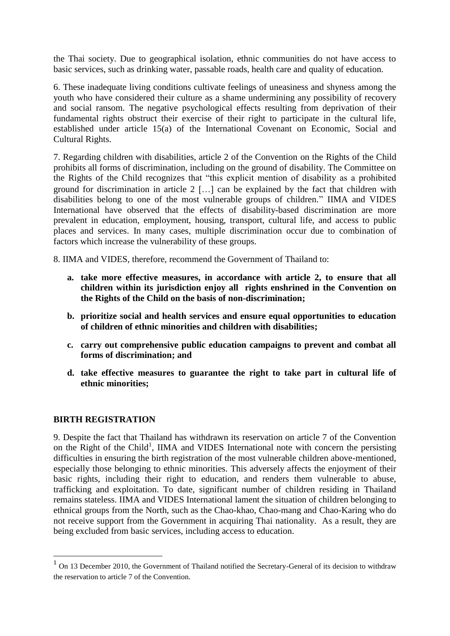the Thai society. Due to geographical isolation, ethnic communities do not have access to basic services, such as drinking water, passable roads, health care and quality of education.

6. These inadequate living conditions cultivate feelings of uneasiness and shyness among the youth who have considered their culture as a shame undermining any possibility of recovery and social ransom. The negative psychological effects resulting from deprivation of their fundamental rights obstruct their exercise of their right to participate in the cultural life, established under article 15(a) of the International Covenant on Economic, Social and Cultural Rights.

7. Regarding children with disabilities, article 2 of the Convention on the Rights of the Child prohibits all forms of discrimination, including on the ground of disability. The Committee on the Rights of the Child recognizes that "this explicit mention of disability as a prohibited ground for discrimination in article  $2$  [ $\dots$ ] can be explained by the fact that children with disabilities belong to one of the most vulnerable groups of children." IIMA and VIDES International have observed that the effects of disability-based discrimination are more prevalent in education, employment, housing, transport, cultural life, and access to public places and services. In many cases, multiple discrimination occur due to combination of factors which increase the vulnerability of these groups.

8. IIMA and VIDES, therefore, recommend the Government of Thailand to:

- **a. take more effective measures, in accordance with article 2, to ensure that all children within its jurisdiction enjoy all rights enshrined in the Convention on the Rights of the Child on the basis of non-discrimination;**
- **b. prioritize social and health services and ensure equal opportunities to education of children of ethnic minorities and children with disabilities;**
- **c. carry out comprehensive public education campaigns to prevent and combat all forms of discrimination; and**
- **d. take effective measures to guarantee the right to take part in cultural life of ethnic minorities;**

#### **BIRTH REGISTRATION**

 $\overline{a}$ 

9. Despite the fact that Thailand has withdrawn its reservation on article 7 of the Convention on the Right of the Child<sup>1</sup>, IIMA and VIDES International note with concern the persisting difficulties in ensuring the birth registration of the most vulnerable children above-mentioned, especially those belonging to ethnic minorities. This adversely affects the enjoyment of their basic rights, including their right to education, and renders them vulnerable to abuse, trafficking and exploitation. To date, significant number of children residing in Thailand remains stateless. IIMA and VIDES International lament the situation of children belonging to ethnical groups from the North, such as the Chao-khao, Chao-mang and Chao-Karing who do not receive support from the Government in acquiring Thai nationality. As a result, they are being excluded from basic services, including access to education.

<sup>&</sup>lt;sup>1</sup> On 13 December 2010, the Government of Thailand notified the Secretary-General of its decision to withdraw the reservation to article 7 of the Convention.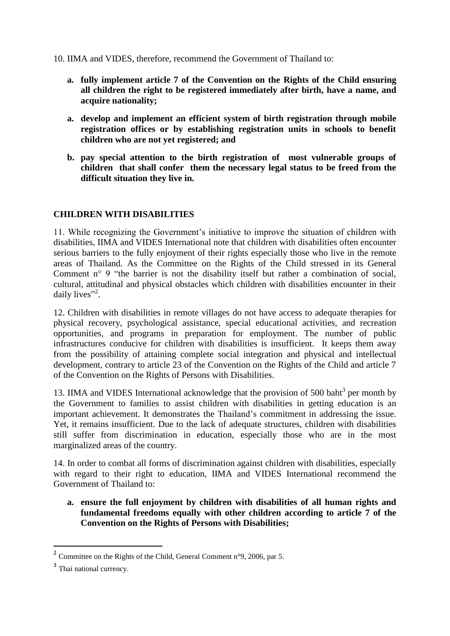10. IIMA and VIDES, therefore, recommend the Government of Thailand to:

- **a. fully implement article 7 of the Convention on the Rights of the Child ensuring all children the right to be registered immediately after birth, have a name, and acquire nationality;**
- **a. develop and implement an efficient system of birth registration through mobile registration offices or by establishing registration units in schools to benefit children who are not yet registered; and**
- **b. pay special attention to the birth registration of most vulnerable groups of children that shall confer them the necessary legal status to be freed from the difficult situation they live in.**

#### **CHILDREN WITH DISABILITIES**

11. While recognizing the Government's initiative to improve the situation of children with disabilities, IIMA and VIDES International note that children with disabilities often encounter serious barriers to the fully enjoyment of their rights especially those who live in the remote areas of Thailand. As the Committee on the Rights of the Child stressed in its General Comment n° 9 "the barrier is not the disability itself but rather a combination of social, cultural, attitudinal and physical obstacles which children with disabilities encounter in their daily lives"<sup>2</sup>.

12. Children with disabilities in remote villages do not have access to adequate therapies for physical recovery, psychological assistance, special educational activities, and recreation opportunities, and programs in preparation for employment. The number of public infrastructures conducive for children with disabilities is insufficient. It keeps them away from the possibility of attaining complete social integration and physical and intellectual development, contrary to article 23 of the Convention on the Rights of the Child and article 7 of the Convention on the Rights of Persons with Disabilities.

13. IIMA and VIDES International acknowledge that the provision of 500 baht<sup>3</sup> per month by the Government to families to assist children with disabilities in getting education is an important achievement. It demonstrates the Thailand's commitment in addressing the issue. Yet, it remains insufficient. Due to the lack of adequate structures, children with disabilities still suffer from discrimination in education, especially those who are in the most marginalized areas of the country.

14. In order to combat all forms of discrimination against children with disabilities, especially with regard to their right to education, IIMA and VIDES International recommend the Government of Thailand to:

**a. ensure the full enjoyment by children with disabilities of all human rights and fundamental freedoms equally with other children according to article 7 of the Convention on the Rights of Persons with Disabilities;** 

1

<sup>&</sup>lt;sup>2</sup> Committee on the Rights of the Child, General Comment n°9, 2006, par 5.

<sup>&</sup>lt;sup>3</sup> Thai national currency.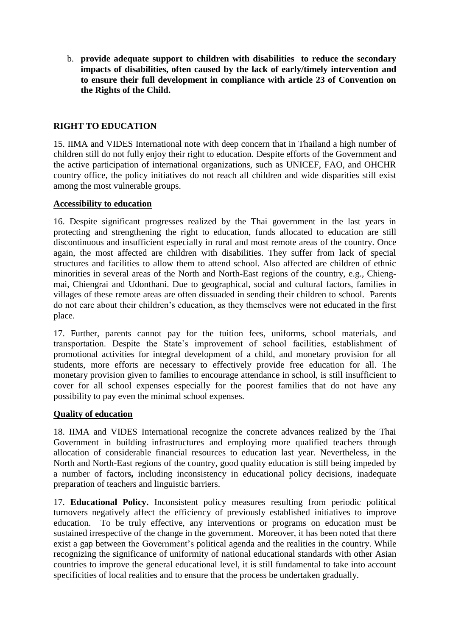b. **provide adequate support to children with disabilities to reduce the secondary impacts of disabilities, often caused by the lack of early/timely intervention and to ensure their full development in compliance with article 23 of Convention on the Rights of the Child.**

## **RIGHT TO EDUCATION**

15. IIMA and VIDES International note with deep concern that in Thailand a high number of children still do not fully enjoy their right to education. Despite efforts of the Government and the active participation of international organizations, such as UNICEF, FAO, and OHCHR country office, the policy initiatives do not reach all children and wide disparities still exist among the most vulnerable groups.

#### **Accessibility to education**

16. Despite significant progresses realized by the Thai government in the last years in protecting and strengthening the right to education, funds allocated to education are still discontinuous and insufficient especially in rural and most remote areas of the country. Once again, the most affected are children with disabilities. They suffer from lack of special structures and facilities to allow them to attend school. Also affected are children of ethnic minorities in several areas of the North and North-East regions of the country, e.g., Chiengmai, Chiengrai and Udonthani. Due to geographical, social and cultural factors, families in villages of these remote areas are often dissuaded in sending their children to school. Parents do not care about their children's education, as they themselves were not educated in the first place.

17. Further, parents cannot pay for the tuition fees, uniforms, school materials, and transportation. Despite the State's improvement of school facilities, establishment of promotional activities for integral development of a child, and monetary provision for all students, more efforts are necessary to effectively provide free education for all. The monetary provision given to families to encourage attendance in school, is still insufficient to cover for all school expenses especially for the poorest families that do not have any possibility to pay even the minimal school expenses.

#### **Quality of education**

18. IIMA and VIDES International recognize the concrete advances realized by the Thai Government in building infrastructures and employing more qualified teachers through allocation of considerable financial resources to education last year. Nevertheless, in the North and North-East regions of the country, good quality education is still being impeded by a number of factors**,** including inconsistency in educational policy decisions, inadequate preparation of teachers and linguistic barriers.

17. **Educational Policy.** Inconsistent policy measures resulting from periodic political turnovers negatively affect the efficiency of previously established initiatives to improve education. To be truly effective, any interventions or programs on education must be sustained irrespective of the change in the government. Moreover, it has been noted that there exist a gap between the Government's political agenda and the realities in the country. While recognizing the significance of uniformity of national educational standards with other Asian countries to improve the general educational level, it is still fundamental to take into account specificities of local realities and to ensure that the process be undertaken gradually.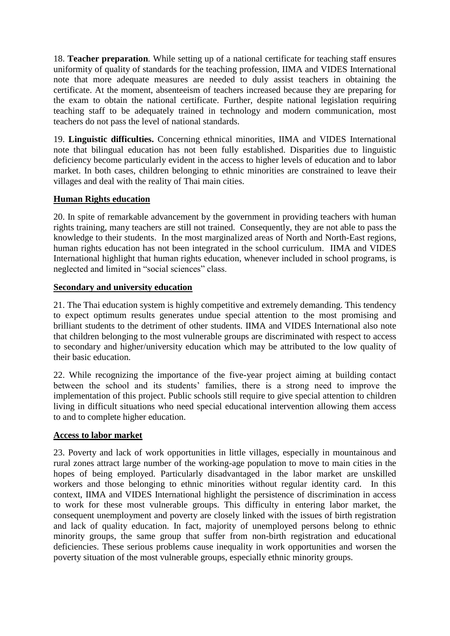18. **Teacher preparation***.* While setting up of a national certificate for teaching staff ensures uniformity of quality of standards for the teaching profession, IIMA and VIDES International note that more adequate measures are needed to duly assist teachers in obtaining the certificate. At the moment, absenteeism of teachers increased because they are preparing for the exam to obtain the national certificate. Further, despite national legislation requiring teaching staff to be adequately trained in technology and modern communication, most teachers do not pass the level of national standards.

19. **Linguistic difficulties.** Concerning ethnical minorities, IIMA and VIDES International note that bilingual education has not been fully established. Disparities due to linguistic deficiency become particularly evident in the access to higher levels of education and to labor market. In both cases, children belonging to ethnic minorities are constrained to leave their villages and deal with the reality of Thai main cities.

#### **Human Rights education**

20. In spite of remarkable advancement by the government in providing teachers with human rights training, many teachers are still not trained. Consequently, they are not able to pass the knowledge to their students. In the most marginalized areas of North and North-East regions, human rights education has not been integrated in the school curriculum. IIMA and VIDES International highlight that human rights education, whenever included in school programs, is neglected and limited in "social sciences" class.

## **Secondary and university education**

21. The Thai education system is highly competitive and extremely demanding. This tendency to expect optimum results generates undue special attention to the most promising and brilliant students to the detriment of other students. IIMA and VIDES International also note that children belonging to the most vulnerable groups are discriminated with respect to access to secondary and higher/university education which may be attributed to the low quality of their basic education.

22. While recognizing the importance of the five-year project aiming at building contact between the school and its students' families, there is a strong need to improve the implementation of this project. Public schools still require to give special attention to children living in difficult situations who need special educational intervention allowing them access to and to complete higher education.

# **Access to labor market**

23. Poverty and lack of work opportunities in little villages, especially in mountainous and rural zones attract large number of the working-age population to move to main cities in the hopes of being employed. Particularly disadvantaged in the labor market are unskilled workers and those belonging to ethnic minorities without regular identity card. In this context, IIMA and VIDES International highlight the persistence of discrimination in access to work for these most vulnerable groups. This difficulty in entering labor market, the consequent unemployment and poverty are closely linked with the issues of birth registration and lack of quality education. In fact, majority of unemployed persons belong to ethnic minority groups, the same group that suffer from non-birth registration and educational deficiencies. These serious problems cause inequality in work opportunities and worsen the poverty situation of the most vulnerable groups, especially ethnic minority groups.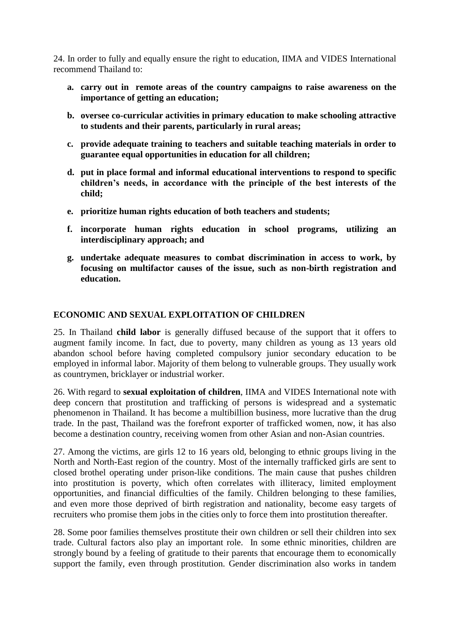24. In order to fully and equally ensure the right to education, IIMA and VIDES International recommend Thailand to:

- **a. carry out in remote areas of the country campaigns to raise awareness on the importance of getting an education;**
- **b. oversee co-curricular activities in primary education to make schooling attractive to students and their parents, particularly in rural areas;**
- **c. provide adequate training to teachers and suitable teaching materials in order to guarantee equal opportunities in education for all children;**
- **d. put in place formal and informal educational interventions to respond to specific children's needs, in accordance with the principle of the best interests of the child;**
- **e. prioritize human rights education of both teachers and students;**
- **f. incorporate human rights education in school programs, utilizing an interdisciplinary approach; and**
- **g. undertake adequate measures to combat discrimination in access to work, by focusing on multifactor causes of the issue, such as non-birth registration and education.**

#### **ECONOMIC AND SEXUAL EXPLOITATION OF CHILDREN**

25. In Thailand **child labor** is generally diffused because of the support that it offers to augment family income. In fact, due to poverty, many children as young as 13 years old abandon school before having completed compulsory junior secondary education to be employed in informal labor. Majority of them belong to vulnerable groups. They usually work as countrymen, bricklayer or industrial worker.

26. With regard to **sexual exploitation of children**, IIMA and VIDES International note with deep concern that prostitution and trafficking of persons is widespread and a systematic phenomenon in Thailand. It has become a multibillion business, more lucrative than the drug trade. In the past, Thailand was the forefront exporter of trafficked women, now, it has also become a destination country, receiving women from other Asian and non-Asian countries.

27. Among the victims, are girls 12 to 16 years old, belonging to ethnic groups living in the North and North-East region of the country. Most of the internally trafficked girls are sent to closed brothel operating under prison-like conditions. The main cause that pushes children into prostitution is poverty, which often correlates with illiteracy, limited employment opportunities, and financial difficulties of the family. Children belonging to these families, and even more those deprived of birth registration and nationality, become easy targets of recruiters who promise them jobs in the cities only to force them into prostitution thereafter.

28. Some poor families themselves prostitute their own children or sell their children into sex trade. Cultural factors also play an important role. In some ethnic minorities, children are strongly bound by a feeling of gratitude to their parents that encourage them to economically support the family, even through prostitution. Gender discrimination also works in tandem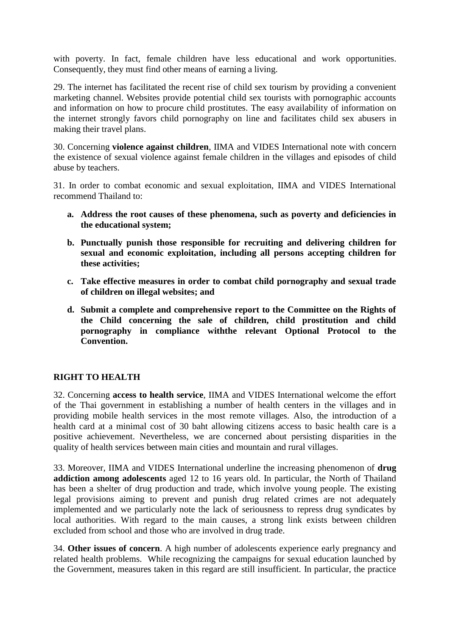with poverty. In fact, female children have less educational and work opportunities. Consequently, they must find other means of earning a living.

29. The internet has facilitated the recent rise of child sex tourism by providing a convenient marketing channel. Websites provide potential child sex tourists with pornographic accounts and information on how to procure child prostitutes. The easy availability of information on the internet strongly favors child pornography on line and facilitates child sex abusers in making their travel plans.

30. Concerning **violence against children**, IIMA and VIDES International note with concern the existence of sexual violence against female children in the villages and episodes of child abuse by teachers.

31. In order to combat economic and sexual exploitation, IIMA and VIDES International recommend Thailand to:

- **a. Address the root causes of these phenomena, such as poverty and deficiencies in the educational system;**
- **b. Punctually punish those responsible for recruiting and delivering children for sexual and economic exploitation, including all persons accepting children for these activities;**
- **c. Take effective measures in order to combat child pornography and sexual trade of children on illegal websites; and**
- **d. Submit a complete and comprehensive report to the Committee on the Rights of the Child concerning the sale of children, child prostitution and child pornography in compliance withthe relevant Optional Protocol to the Convention.**

#### **RIGHT TO HEALTH**

32. Concerning **access to health service**, IIMA and VIDES International welcome the effort of the Thai government in establishing a number of health centers in the villages and in providing mobile health services in the most remote villages. Also, the introduction of a health card at a minimal cost of 30 baht allowing citizens access to basic health care is a positive achievement. Nevertheless, we are concerned about persisting disparities in the quality of health services between main cities and mountain and rural villages.

33. Moreover, IIMA and VIDES International underline the increasing phenomenon of **drug addiction among adolescents** aged 12 to 16 years old. In particular, the North of Thailand has been a shelter of drug production and trade, which involve young people. The existing legal provisions aiming to prevent and punish drug related crimes are not adequately implemented and we particularly note the lack of seriousness to repress drug syndicates by local authorities. With regard to the main causes, a strong link exists between children excluded from school and those who are involved in drug trade.

34. **Other issues of concern**. A high number of adolescents experience early pregnancy and related health problems. While recognizing the campaigns for sexual education launched by the Government, measures taken in this regard are still insufficient. In particular, the practice